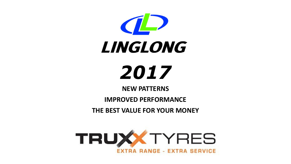

### **NEW PATTERNS**

### **IMPROVED PERFORMANCE**

**THE BEST VALUE FOR YOUR MONEY**

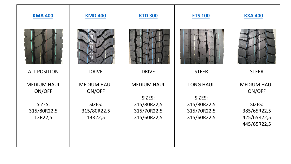| <b>KMA 400</b>                   | <b>KMD 400</b>                   | <b>KTD 300</b>                            | <b>ETS 100</b>                            | <b>KXA 400</b>                                      |
|----------------------------------|----------------------------------|-------------------------------------------|-------------------------------------------|-----------------------------------------------------|
|                                  |                                  |                                           |                                           |                                                     |
| <b>ALL POSITION</b>              | <b>DRIVE</b>                     | <b>DRIVE</b>                              | <b>STEER</b>                              | <b>STEER</b>                                        |
| <b>MEDIUM HAUL</b><br>ON/OFF     | <b>MEDIUM HAUL</b><br>ON/OFF     | <b>MEDIUM HAUL</b><br>SIZES:              | <b>LONG HAUL</b><br>SIZES:                | <b>MEDIUM HAUL</b><br>ON/OFF                        |
| SIZES:<br>315/80R22,5<br>13R22,5 | SIZES:<br>315/80R22,5<br>13R22,5 | 315/80R22,5<br>315/70R22,5<br>315/60R22,5 | 315/80R22,5<br>315/70R22,5<br>315/60R22,5 | SIZES:<br>385/65R22,5<br>425/65R22,5<br>445/65R22,5 |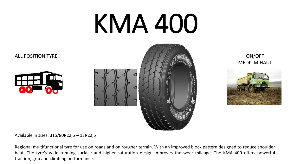## KMA 400



<span id="page-2-0"></span>

### MEDIUM HAUL



Available in sizes: 315/80R22,5 – 13R22,5

Regional multifunctional tyre for use on roads and on rougher terrain. With an improved block pattern designed to reduce shoulder heat. The tyre's wide running surface and higher saturation design improves the wear mileage. The KMA 400 offers powerful traction, grip and climbing performance.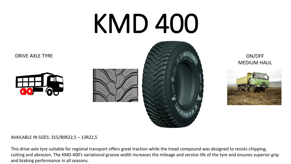## KMD 400

<span id="page-3-0"></span>





AVAILABLE IN SIZES: 315/80R22,5 – 13R22,5

This drive axle tyre suitable for regional transport offers great traction while the tread compound was designed to resists chipping, cutting and abrasion. The KMD 400's variational groove width increases the mileage and service life of the tyre and ensures superior grip and braking performance in all seasons.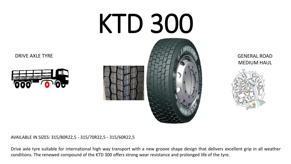# KTD 300



<span id="page-4-0"></span>

MEDIUM HAUL



AVAILABLE IN SIZES: 315/80R22,5 - 315/70R22,5 - 315/60R22,5

Drive axle tyre suitable for international high way transport with a new groove shape design that delivers excellent grip in all weather conditions. The renewed compound of the KTD 300 offers strong wear resistance and prolonged life of the tyre.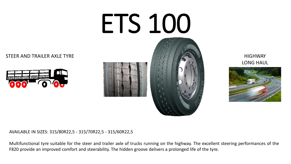# ETS 100

<span id="page-5-0"></span>STEER AND TRAILER AXLE TYRE THE EXAMPLE TO A REPORT OF THE EXAMPLE THE HIGHWAY











AVAILABLE IN SIZES: 315/80R22,5 - 315/70R22,5 - 315/60R22,5

Multifunctional tyre suitable for the steer and trailer axle of trucks running on the highway. The excellent steering performances of the F820 provide an improved comfort and steerability. The hidden groove delivers a prolonged life of the tyre.